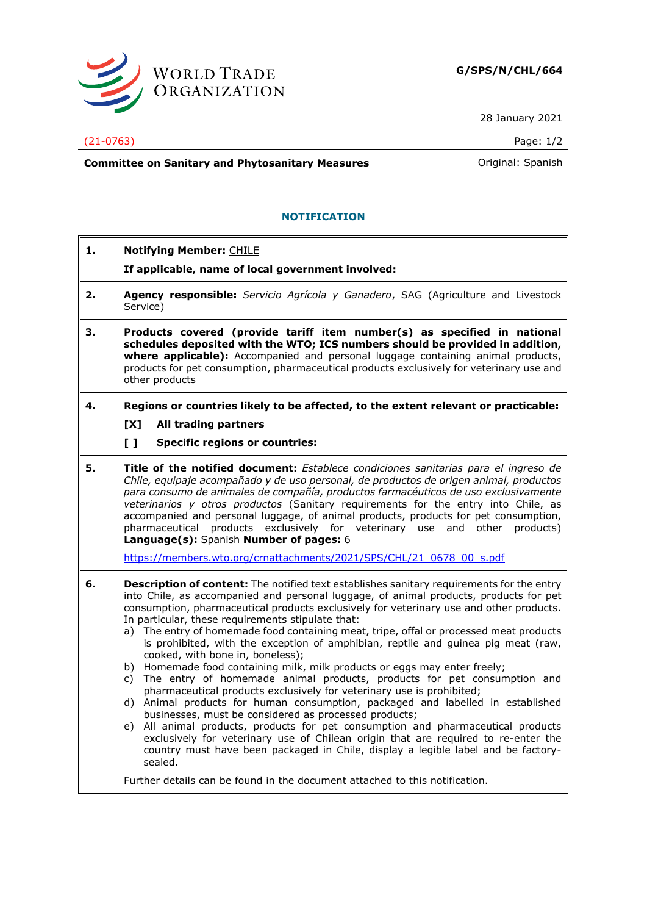

28 January 2021

## (21-0763) Page: 1/2

**Committee on Sanitary and Phytosanitary Measures Committee on Sanish** 

## **NOTIFICATION**

- **1. Notifying Member:** CHILE
	- **If applicable, name of local government involved:**
- **2. Agency responsible:** *Servicio Agrícola y Ganadero*, SAG (Agriculture and Livestock Service)
- **3. Products covered (provide tariff item number(s) as specified in national schedules deposited with the WTO; ICS numbers should be provided in addition, where applicable):** Accompanied and personal luggage containing animal products, products for pet consumption, pharmaceutical products exclusively for veterinary use and other products
- **4. Regions or countries likely to be affected, to the extent relevant or practicable:**
	- **[X] All trading partners**
	- **[ ] Specific regions or countries:**
- **5. Title of the notified document:** *Establece condiciones sanitarias para el ingreso de Chile, equipaje acompañado y de uso personal, de productos de origen animal, productos para consumo de animales de compañía, productos farmacéuticos de uso exclusivamente veterinarios y otros productos* (Sanitary requirements for the entry into Chile, as accompanied and personal luggage, of animal products, products for pet consumption, pharmaceutical products exclusively for veterinary use and other products) **Language(s):** Spanish **Number of pages:** 6

[https://members.wto.org/crnattachments/2021/SPS/CHL/21\\_0678\\_00\\_s.pdf](https://members.wto.org/crnattachments/2021/SPS/CHL/21_0678_00_s.pdf)

- **6. Description of content:** The notified text establishes sanitary requirements for the entry into Chile, as accompanied and personal luggage, of animal products, products for pet consumption, pharmaceutical products exclusively for veterinary use and other products. In particular, these requirements stipulate that:
	- a) The entry of homemade food containing meat, tripe, offal or processed meat products is prohibited, with the exception of amphibian, reptile and guinea pig meat (raw, cooked, with bone in, boneless);
	- b) Homemade food containing milk, milk products or eggs may enter freely;
	- c) The entry of homemade animal products, products for pet consumption and pharmaceutical products exclusively for veterinary use is prohibited;
	- d) Animal products for human consumption, packaged and labelled in established businesses, must be considered as processed products;
	- e) All animal products, products for pet consumption and pharmaceutical products exclusively for veterinary use of Chilean origin that are required to re-enter the country must have been packaged in Chile, display a legible label and be factorysealed.

Further details can be found in the document attached to this notification.